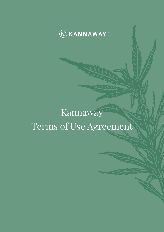

# Kannaway Terms of Use Agreement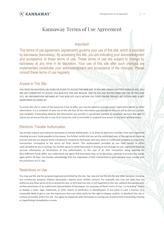## Kannaway Terms of Use Agreement

#### Important!

This terms of use agreement (agreement) governs your use of this site, which is provided by kannaway (kannaway). By accessing this site, you are indicating your acknowledgment and acceptance of these terms of use. These terms of use are subject to change by kannaway at any time in its discretion. Your use of this site after such changes are implemented constitutes your acknowledgment and acceptance of the changes. Please consult these terms of use regularly.

#### Access to This Site

YOU MUST BE EIGHTEEN (18) YEARS OR OLDER TO ACCESS THIS WEB SITE. IF YOU ARE UNDER EIGHTEEN YEARS OF AGE, YOU ARE NOT PERMITTED TO ACCESS THIS WEB SITE FOR ANY REASON. DUE TO THE AGE RESTRICTIONS FOR USE OF THIS WEB SITE, NO INFORMATION OBTAINED BY THIS WEB SITE FALLS WITHIN THE CHILD ONLINE PRIVACY ACT (COPA) AND IS NOT MONITORED AS DOING SO.

To access this site or some of the resources it has to offer, you may be asked to provide certain registration details or other information. It is a condition of your use of this site that all the information you provide on this site will be correct, current, and complete. If Kannaway believes the information you provide is not correct, current, or complete, we have the right to refuse you access to this site or any of its resources, and to terminate or suspend your access at any time, without notice.

#### Electronic Transfer Authorization

You hereby request and authorize Kannaway to initiate withdrawals, or to draw by electronic transfer, from your registered checking account, funds payable to Kannaway. You further certify that you are the authorized user of the registered checking account and will not dispute these transactions initiated by Kannaway with your bank or credit card company so long as the transactions correspond to the terms set forth herein. This authorization provided by you shall remain in effect until cancelled by you in writing. You further agree to notify Kannaway in writing of any changes to your registered checking account information or termination of this authorization. In the case of an ACH Transaction being rejected for Non-Sufficient Funds (NSF), you understand and agree that Kannaway may, at its discretion, attempt to process the charge again within 30 days. You hereby acknowledge that the origination of ACH transactions to your account must comply with the provisions of U.S. law.

#### Restrictions on Use

You may use this site for purposes expressly permitted by this site. You may not use this site for any other purpose, including any commercial purpose, without Kannaway's express prior written consent. For example, you may not (and may not authorize any other party to) (i) co-brand this site, or (ii) frame this site, or (iii) hyperlink to this site, without the express prior written permission of an authorized representative of Kannaway. For purposes of these Terms of Use, "co-branding" means to display a name, logo, trademark, or other means of attribution or identification of any party in such a manner as is reasonably likely to give a user the impression that such other party has the right to display, publish, or distribute this site or content accessible within this site. You agree to cooperate with Kannaway in causing any unauthorized co-branding, framing or hyperlinking immediately to cease.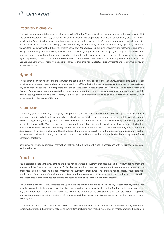

#### Proprietary Information

The material and content (hereinafter referred to as the "Content") accessible from this site, and any other World Wide Web site owned, operated, licensed, or controlled by Kannaway is the proprietary information of Kannaway or the party that provided the Content to Kannaway, and Kannaway or the party that provided the Content to Kannaway retains all right, title, and interest in the Content. Accordingly, the Content may not be copied, distributed, republished, uploaded, posted, or transmitted in any way without the prior written consent of Kannaway, or unless authorized in writing elsewhere on our site, except that you may print out a copy of the Content solely for your personal use. In doing so, you may not remove or alter, or cause to be removed or altered, any copyright, trademark, trade name, service mark, or any other proprietary notice or legend appearing on any of the Content. Modification or use of the Content except as expressly provided in these Terms of Use violates Kannaway's intellectual property rights. Neither title nor intellectual property rights are transferred to you by access to this site.

#### **Hyperlinks**

This site may be hyperlinked to other sites which are not maintained by, or related to, Kannaway. Hyperlinks to such sites are provided as a service to users and are not sponsored by or affiliated with this site or Kannaway. Kannaway has not reviewed any or all of such sites and is not responsible for the content of those sites. Hyperlinks are to be accessed at the user's own risk, and Kannaway makes no representations or warranties about the content, completeness or accuracy of these hyperlinks or the sites hyperlinked to this site. Further, the inclusion of any hyperlink to a third-party site does not necessarily imply endorsement by Kannaway of that site.

#### Submissions

You hereby grant to Kannaway the royalty-free, perpetual, irrevocable, worldwide, non-exclusive right and license to use, reproduce, modify, adapt, publish, translate, create derivative works from, distribute, perform, and display all content, remarks, suggestions, ideas, graphics, or other information communicated to Kannaway through this site (together, hereinafter known as the "Submission"), and to incorporate any Submission in other works in any form, media, or technology now known or later developed. Kannaway will not be required to treat any Submission as confidential, and may use any Submission in its business (including without limitation, for products or advertising) without incurring any liability for royalties or any other consideration of any kind, and will not incur any liability as a result of any similarities that may appear in future company operations.

Kannaway will treat any personal information that you submit through this site in accordance with its Privacy Policy as set forth on this site.

#### **Disclaimer**

You understand that Kannaway cannot and does not guarantee or warrant that files available for downloading from the Internet will be free of viruses, worms, Trojan horses or other code that may manifest contaminating or destructive properties. You are responsible for implementing sufficient procedures and checkpoints to satisfy your particular requirements for accuracy of data input and output, and for maintaining a means external to this site for the reconstruction of any lost data. Kannaway does not assume any responsibility or risk for your use of the Internet.

The Content is not necessarily complete and up-to-date and should not be used to replace any written reports, statements, or notices provided by Kannaway. Investors, borrowers, and other persons should use the Content in the same manner as any other educational medium and should not rely on the Content to the exclusion of their own professional judgment. Information obtained by using this site is not exhaustive and does not cover all issues, topics, or facts that may be relevant to your goals.

YOUR USE OF THIS SITE IS AT YOUR OWN RISK. The Content is provided "as is" and without warranties of any kind, either expressed or implied. Kannaway disclaims all warranties, including any implied warranties of merchantability, fitness for a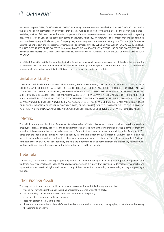

particular purpose, TITLE, OR NONINFRINGEMENT. Kannaway does not warrant that the functions OR CONTENT contained in this site will be uninterrupted or error-free, that defects will be corrected, or that this site, or the server that makes it available, are free of viruses or other harmful components. Kannaway does not warrant or make any representation regarding use, or the result of use, of the content in terms of accuracy, reliability, or otherwise. The content may include technical inaccuracies or typographical errors, and Company may make changes or improvements at any time. You, and not Kannaway, assume the entire cost of all necessary servicing, repair or correction IN THE EVENT OF ANY LOSS OR DAMAGE ARISING FROM THE USE OF THIS SITE OR ITS CONTENT. Kannaway MAKES NO WARRANTIES THAT YOUR USE OF THE CONTENT WILL NOT INFRINGE THE RIGHTS OF OTHERS AND ASSUMES NO LIABILITY OR RESPONSIBILITY FOR ERRORS OR OMISSIONS IN SUCH **CONTENT** 

All of the information in this site, whether historical in nature or forward-looking, speaks only as of the date the information is posted on this site, and Kannaway does not undertake any obligation to update such information after it is posted or to remove such information from this site if it is not, or is no longer, accurate or complete.

#### Limitation on Liability

KANNAWAY, ITS SUBSIDIARIES, AFFILIATES, LICENSORS, SERVICE PROVIDERS, CONTENT PROVIDERS, EMPLOYEES, AGENTS, OFFICERS, AND DIRECTORS WILL NOT BE LIABLE FOR ANY INCIDENTAL, DIRECT, INDIRECT, PUNITIVE, ACTUAL, CONSEQUENTIAL, SPECIAL, EXEMPLARY, OR OTHER DAMAGES, INCLUDING LOSS OF REVENUE OR INCOME, PAIN AND SUFFERING, EMOTIONAL DISTRESS, OR SIMILAR DAMAGES, EVEN IF KANNAWAY HAS BEEN ADVISED OF THE POSSIBILITY OF SUCH DAMAGES. IN NO EVENT WILL THE COLLECTIVE LIABILITY OF COMPANY AND ITS SUBSIDIARIES, AFFILIATES, LICENSORS, SERVICE PROVIDERS, CONTENT PROVIDERS, EMPLOYEES, AGENTS, OFFICERS, AND DIRECTORS, TO ANY PARTY (REGARDLESS OF THE FORM OF ACTION, WHETHER IN CONTRACT, TORT, OR OTHERWISE) EXCEED THE GREATER OF \$100 OR THE AMOUNT YOU HAVE PAID TO KANNAWAY FOR THE APPLICABLE CONTENT, PRODUCT OR SERVICE OUT OF WHICH LIABILITY AROSE.

#### **Indemnity**

You will indemnify and hold the Kannaway, its subsidiaries, affiliates, licensors, content providers, service providers, employees, agents, officers, directors, and contractors (hereinafter known as the "Indemnified Parties") harmless from any breach of this Agreement by you, including any use of Content other than as expressly authorized in this Agreement. You agree that the Indemnified Parties will have no liability in connection with any such breach or unauthorized use, and you agree to indemnify any and all resulting loss, damages, judgments, awards, costs, expenses, of the Indemnified Parties in connection therewith. You will also indemnify and hold the Indemnified Parties harmless from and against any claims brought by third parties arising out of your use of the information accessed from this site.

#### **Trademarks**

Trademarks, service marks, and logos appearing in this site are the property of Kannaway or the party that provided the trademarks, service marks, and logos to Kannaway. Kannaway and any party that provided trademarks, service marks, and logos to Kannaway retain all rights with respect to any of their respective trademarks, service marks, and logos appearing in this site.

### Information You Provide

You may not post, send, submit, publish, or transmit in connection with this site any material that:

- you do not have the right to post, including proprietary material of any third party;
- advocates illegal activity or discusses an intent to commit an illegal act;
- is vulgar, obscene, pornographic, or indecent;
- does not pertain directly to this site;
- threatens or abuses others, libels, defames, invades privacy, stalks, is obscene, pornographic, racist, abusive, harassing, threatening or offensive;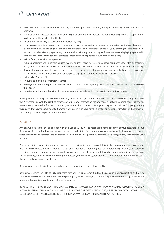

- seeks to exploit or harm children by exposing them to inappropriate content, asking for personally identifiable details or otherwise;
- infringes any intellectual property or other right of any entity or person, including violating anyone's copyrights or trademarks or their rights of publicity;
- violates any law or may be considered to violate any law;
- impersonates or misrepresents your connection to any other entity or person or otherwise manipulates headers or identifiers to disguise the origin of the content; advertises any commercial endeavor (e.g., offering for sale products or services) or otherwise engages in any commercial activity (e.g., conducting raffles or contests, displaying sponsorship banners, and/or soliciting goods or services) except as may be specifically authorized on this site;
- solicits funds, advertisers or sponsors;
- includes programs which contain viruses, worms and/or Trojan horses or any other computer code, files or programs designed to interrupt, destroy or limit the functionality of any computer software or hardware or telecommunications;
- disrupts the normal flow of dialogue, causes a screen to scroll faster than other users are able to type, or otherwise act in a way which affects the ability of other people to engage in real time activities via this site;
- includes MP3 format files;
- amounts to a 'pyramid' or similar scheme;
- disobeys any policy or regulations established from time to time regarding use of this site or any networks connected to this site; or
- contains hyperlinks to other sites that contain content that falls within the descriptions set forth above.

Although under no obligation to do so, Kannaway reserves the right to monitor use of this site to determine compliance with this Agreement as well the right to remove or refuse any information for any reason. Notwithstanding these rights, you remain solely responsible for the content of your submissions. You acknowledge and agree that neither Company, nor any third party that provides Content to Company, will assume or have any liability for any action or inaction by Kannaway or such third party with respect to any submission.

#### **Security**

Any passwords used for this site are for individual use only. You will be responsible for the security of your password (if any). Kannaway will be entitled to monitor your password and, at its discretion, require you to change it. If you use a password that Kannaway considers insecure, Kannaway will be entitled to require the password to be changed and/or terminate your account.

You are prohibited from using any services or facilities provided in connection with this site to compromise security or tamper with system resources and/or accounts. The use or distribution of tools designed for compromising security (e.g., password guessing programs, cracking tools or network probing tools) is strictly prohibited. If you become involved in any violation of system security, Kannaway reserves the right to release your details to system administrators at other sites in order to assist them in resolving security incidents.

Kannaway reserves the right to investigate suspected violations of these Terms of Use.

Kannaway reserves the right to fully cooperate with any law enforcement authorities or court order requesting or directing Kannaway to disclose the identity of anyone posting any e-mail messages, or publishing or otherwise making available any materials that are believed to violate these Terms of Use.

BY ACCEPTING THIS AGREEMENT, YOU WAIVE AND HOLD HARMLESS KANNAWAY FROM ANY CLAIMS RESULTING FROM ANY ACTION TAKEN BY KANNAWAY DURING OR AS A RESULT OF ITS INVESTIGATIONS AND/OR FROM ANY ACTIONS TAKEN AS A CONSEQUENCE OF INVESTIGATIONS BY EITHER [KANNAWAY] OR LAW ENFORCEMENT AUTHORITIES.